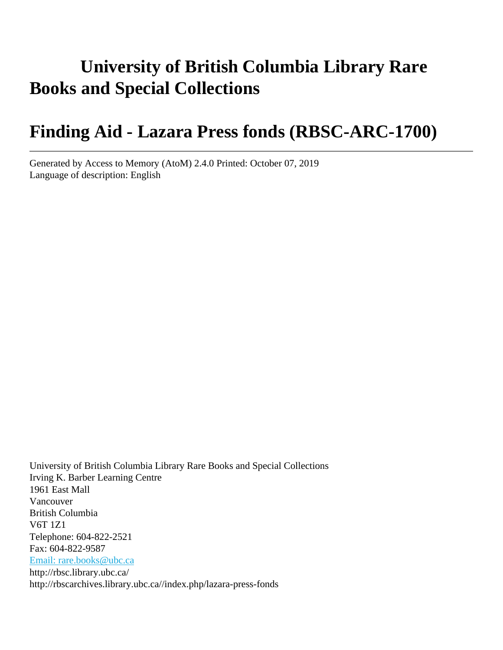# **University of British Columbia Library Rare Books and Special Collections**

# **Finding Aid - Lazara Press fonds (RBSC-ARC-1700)**

Generated by Access to Memory (AtoM) 2.4.0 Printed: October 07, 2019 Language of description: English

University of British Columbia Library Rare Books and Special Collections Irving K. Barber Learning Centre 1961 East Mall Vancouver British Columbia V6T 1Z1 Telephone: 604-822-2521 Fax: 604-822-9587 [Email: rare.books@ubc.ca](mailto:Email: rare.books@ubc.ca) http://rbsc.library.ubc.ca/ http://rbscarchives.library.ubc.ca//index.php/lazara-press-fonds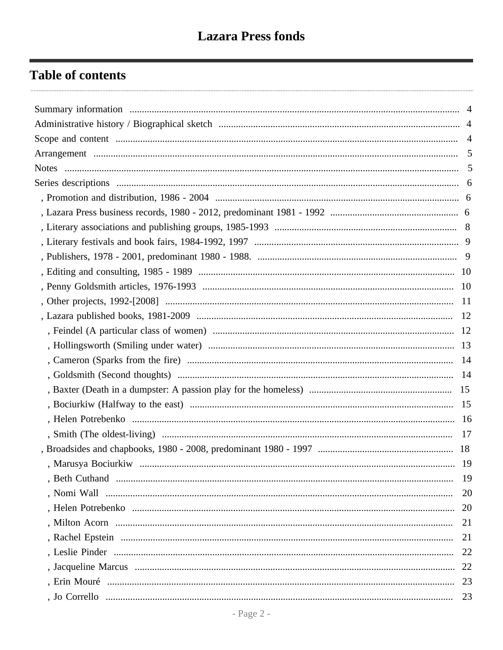## **Table of contents**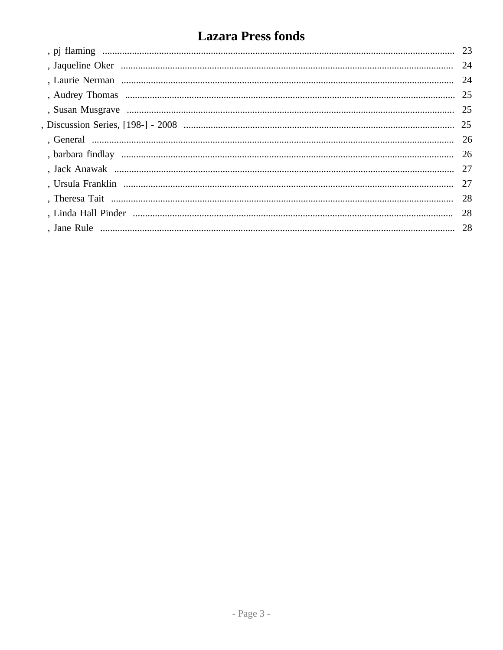# **Lazara Press fonds**

| -24 |
|-----|
|     |
|     |
|     |
|     |
|     |
|     |
| 27  |
|     |
|     |
| -28 |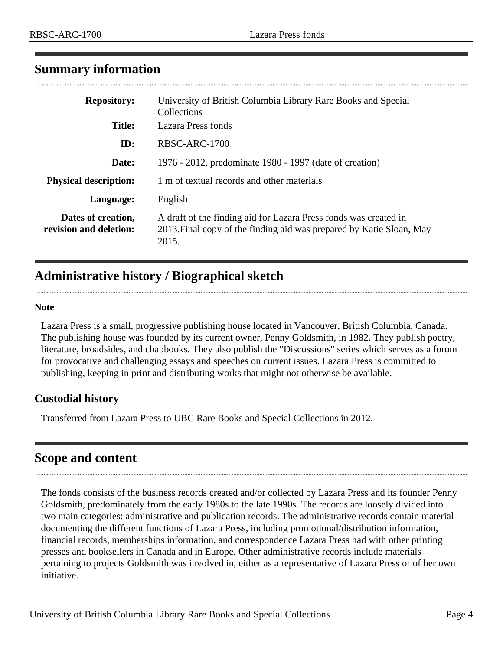## <span id="page-3-0"></span>**Summary information**

| <b>Repository:</b>                           | University of British Columbia Library Rare Books and Special<br>Collections                                                                      |
|----------------------------------------------|---------------------------------------------------------------------------------------------------------------------------------------------------|
| <b>Title:</b>                                | Lazara Press fonds                                                                                                                                |
| ID:                                          | RBSC-ARC-1700                                                                                                                                     |
| Date:                                        | 1976 - 2012, predominate 1980 - 1997 (date of creation)                                                                                           |
| <b>Physical description:</b>                 | 1 m of textual records and other materials                                                                                                        |
| Language:                                    | English                                                                                                                                           |
| Dates of creation,<br>revision and deletion: | A draft of the finding aid for Lazara Press fonds was created in<br>2013. Final copy of the finding aid was prepared by Katie Sloan, May<br>2015. |

## <span id="page-3-1"></span>**Administrative history / Biographical sketch**

#### **Note**

Lazara Press is a small, progressive publishing house located in Vancouver, British Columbia, Canada. The publishing house was founded by its current owner, Penny Goldsmith, in 1982. They publish poetry, literature, broadsides, and chapbooks. They also publish the "Discussions" series which serves as a forum for provocative and challenging essays and speeches on current issues. Lazara Press is committed to publishing, keeping in print and distributing works that might not otherwise be available.

## **Custodial history**

Transferred from Lazara Press to UBC Rare Books and Special Collections in 2012.

## <span id="page-3-2"></span>**Scope and content**

The fonds consists of the business records created and/or collected by Lazara Press and its founder Penny Goldsmith, predominately from the early 1980s to the late 1990s. The records are loosely divided into two main categories: administrative and publication records. The administrative records contain material documenting the different functions of Lazara Press, including promotional/distribution information, financial records, memberships information, and correspondence Lazara Press had with other printing presses and booksellers in Canada and in Europe. Other administrative records include materials pertaining to projects Goldsmith was involved in, either as a representative of Lazara Press or of her own initiative.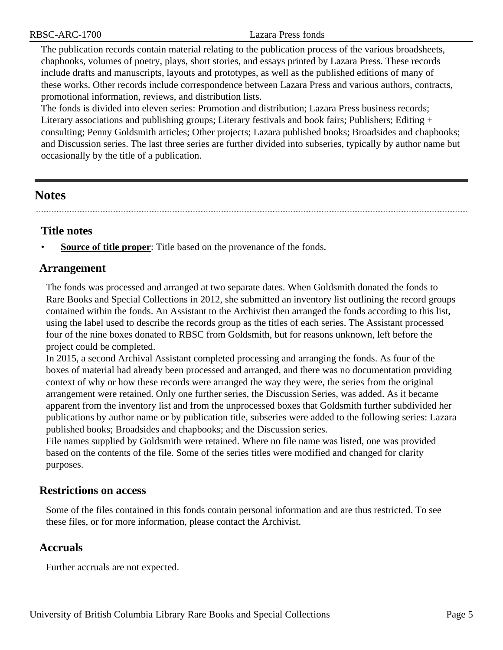RBSC-ARC-1700 Lazara Press fonds

The publication records contain material relating to the publication process of the various broadsheets, chapbooks, volumes of poetry, plays, short stories, and essays printed by Lazara Press. These records include drafts and manuscripts, layouts and prototypes, as well as the published editions of many of these works. Other records include correspondence between Lazara Press and various authors, contracts, promotional information, reviews, and distribution lists.

The fonds is divided into eleven series: Promotion and distribution; Lazara Press business records; Literary associations and publishing groups; Literary festivals and book fairs; Publishers; Editing + consulting; Penny Goldsmith articles; Other projects; Lazara published books; Broadsides and chapbooks; and Discussion series. The last three series are further divided into subseries, typically by author name but occasionally by the title of a publication.

## <span id="page-4-1"></span>**Notes**

## **Title notes**

**<u>Source of title proper</u>**: Title based on the provenance of the fonds.

## <span id="page-4-0"></span>**Arrangement**

The fonds was processed and arranged at two separate dates. When Goldsmith donated the fonds to Rare Books and Special Collections in 2012, she submitted an inventory list outlining the record groups contained within the fonds. An Assistant to the Archivist then arranged the fonds according to this list, using the label used to describe the records group as the titles of each series. The Assistant processed four of the nine boxes donated to RBSC from Goldsmith, but for reasons unknown, left before the project could be completed.

In 2015, a second Archival Assistant completed processing and arranging the fonds. As four of the boxes of material had already been processed and arranged, and there was no documentation providing context of why or how these records were arranged the way they were, the series from the original arrangement were retained. Only one further series, the Discussion Series, was added. As it became apparent from the inventory list and from the unprocessed boxes that Goldsmith further subdivided her publications by author name or by publication title, subseries were added to the following series: Lazara published books; Broadsides and chapbooks; and the Discussion series.

File names supplied by Goldsmith were retained. Where no file name was listed, one was provided based on the contents of the file. Some of the series titles were modified and changed for clarity purposes.

## **Restrictions on access**

Some of the files contained in this fonds contain personal information and are thus restricted. To see these files, or for more information, please contact the Archivist.

## **Accruals**

Further accruals are not expected.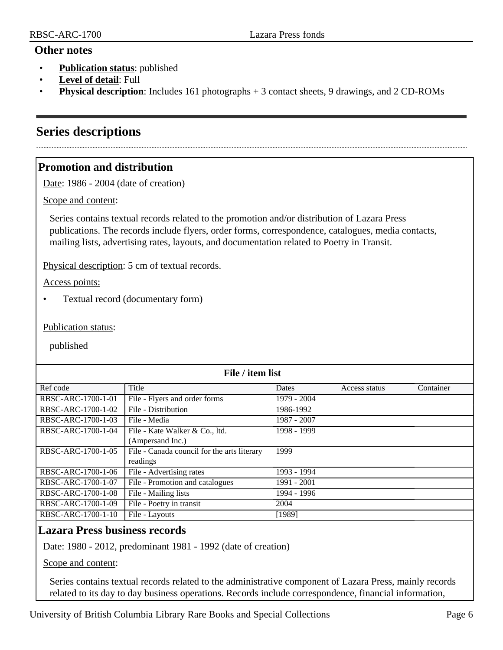#### **Other notes**

- **Publication status**: published
- **Level of detail**: Full
- **Physical description**: Includes 161 photographs + 3 contact sheets, 9 drawings, and 2 CD-ROMs

## <span id="page-5-0"></span>**Series descriptions**

## <span id="page-5-1"></span>**Promotion and distribution**

Date: 1986 - 2004 (date of creation)

Scope and content:

Series contains textual records related to the promotion and/or distribution of Lazara Press publications. The records include flyers, order forms, correspondence, catalogues, media contacts, mailing lists, advertising rates, layouts, and documentation related to Poetry in Transit.

Physical description: 5 cm of textual records.

Access points:

• Textual record (documentary form)

Publication status:

published

| File / item list   |                                             |             |               |           |
|--------------------|---------------------------------------------|-------------|---------------|-----------|
| Ref code           | Title                                       | Dates       | Access status | Container |
| RBSC-ARC-1700-1-01 | File - Flyers and order forms               | 1979 - 2004 |               |           |
| RBSC-ARC-1700-1-02 | File - Distribution                         | 1986-1992   |               |           |
| RBSC-ARC-1700-1-03 | File - Media                                | 1987 - 2007 |               |           |
| RBSC-ARC-1700-1-04 | File - Kate Walker & Co., ltd.              | 1998 - 1999 |               |           |
|                    | (Ampersand Inc.)                            |             |               |           |
| RBSC-ARC-1700-1-05 | File - Canada council for the arts literary | 1999        |               |           |
|                    | readings                                    |             |               |           |
| RBSC-ARC-1700-1-06 | File - Advertising rates                    | 1993 - 1994 |               |           |
| RBSC-ARC-1700-1-07 | File - Promotion and catalogues             | 1991 - 2001 |               |           |
| RBSC-ARC-1700-1-08 | File - Mailing lists                        | 1994 - 1996 |               |           |
| RBSC-ARC-1700-1-09 | File - Poetry in transit                    | 2004        |               |           |
| RBSC-ARC-1700-1-10 | File - Layouts                              | [1989]      |               |           |

## <span id="page-5-2"></span>**Lazara Press business records**

Date: 1980 - 2012, predominant 1981 - 1992 (date of creation)

Scope and content:

Series contains textual records related to the administrative component of Lazara Press, mainly records related to its day to day business operations. Records include correspondence, financial information,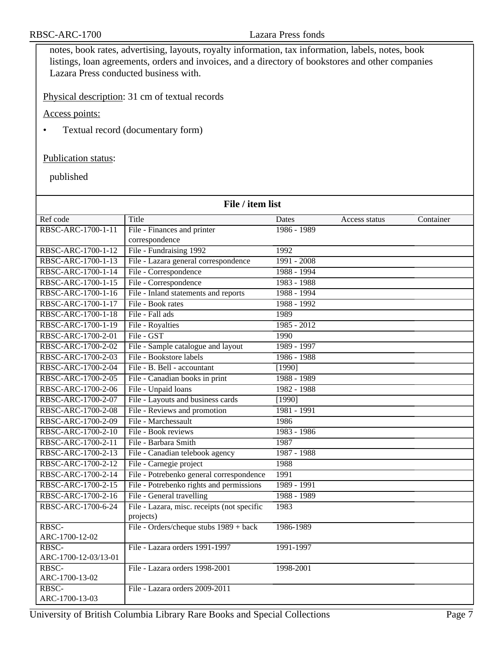notes, book rates, advertising, layouts, royalty information, tax information, labels, notes, book listings, loan agreements, orders and invoices, and a directory of bookstores and other companies Lazara Press conducted business with.

Physical description: 31 cm of textual records

Access points:

• Textual record (documentary form)

#### Publication status:

| File / item list              |                                                          |               |               |           |
|-------------------------------|----------------------------------------------------------|---------------|---------------|-----------|
| Ref code                      | Title                                                    | Dates         | Access status | Container |
| RBSC-ARC-1700-1-11            | File - Finances and printer                              | $1986 - 1989$ |               |           |
|                               | correspondence                                           |               |               |           |
| RBSC-ARC-1700-1-12            | File - Fundraising 1992                                  | 1992          |               |           |
| RBSC-ARC-1700-1-13            | File - Lazara general correspondence                     | $1991 - 2008$ |               |           |
| RBSC-ARC-1700-1-14            | File - Correspondence                                    | 1988 - 1994   |               |           |
| RBSC-ARC-1700-1-15            | File - Correspondence                                    | 1983 - 1988   |               |           |
| RBSC-ARC-1700-1-16            | File - Inland statements and reports                     | 1988 - 1994   |               |           |
| RBSC-ARC-1700-1-17            | File - Book rates                                        | 1988 - 1992   |               |           |
| RBSC-ARC-1700-1-18            | File - Fall ads                                          | 1989          |               |           |
| RBSC-ARC-1700-1-19            | File - Royalties                                         | $1985 - 2012$ |               |           |
| RBSC-ARC-1700-2-01            | File - GST                                               | 1990          |               |           |
| RBSC-ARC-1700-2-02            | File - Sample catalogue and layout                       | 1989 - 1997   |               |           |
| RBSC-ARC-1700-2-03            | File - Bookstore labels                                  | $1986 - 1988$ |               |           |
| RBSC-ARC-1700-2-04            | File - B. Bell - accountant                              | [1990]        |               |           |
| RBSC-ARC-1700-2-05            | File - Canadian books in print                           | 1988 - 1989   |               |           |
| RBSC-ARC-1700-2-06            | File - Unpaid loans                                      | 1982 - 1988   |               |           |
| RBSC-ARC-1700-2-07            | File - Layouts and business cards                        | $[1990]$      |               |           |
| RBSC-ARC-1700-2-08            | File - Reviews and promotion                             | 1981 - 1991   |               |           |
| RBSC-ARC-1700-2-09            | File - Marchessault                                      | 1986          |               |           |
| RBSC-ARC-1700-2-10            | File - Book reviews                                      | 1983 - 1986   |               |           |
| RBSC-ARC-1700-2-11            | File - Barbara Smith                                     | 1987          |               |           |
| RBSC-ARC-1700-2-13            | File - Canadian telebook agency                          | 1987 - 1988   |               |           |
| RBSC-ARC-1700-2-12            | File - Carnegie project                                  | 1988          |               |           |
| RBSC-ARC-1700-2-14            | File - Potrebenko general correspondence                 | 1991          |               |           |
| RBSC-ARC-1700-2-15            | File - Potrebenko rights and permissions                 | 1989 - 1991   |               |           |
| RBSC-ARC-1700-2-16            | File - General travelling                                | 1988 - 1989   |               |           |
| RBSC-ARC-1700-6-24            | File - Lazara, misc. receipts (not specific<br>projects) | 1983          |               |           |
| RBSC-<br>ARC-1700-12-02       | File - Orders/cheque stubs 1989 + back                   | 1986-1989     |               |           |
| RBSC-<br>ARC-1700-12-03/13-01 | File - Lazara orders 1991-1997                           | 1991-1997     |               |           |
| RBSC-<br>ARC-1700-13-02       | File - Lazara orders 1998-2001                           | 1998-2001     |               |           |
| RBSC-<br>ARC-1700-13-03       | File - Lazara orders 2009-2011                           |               |               |           |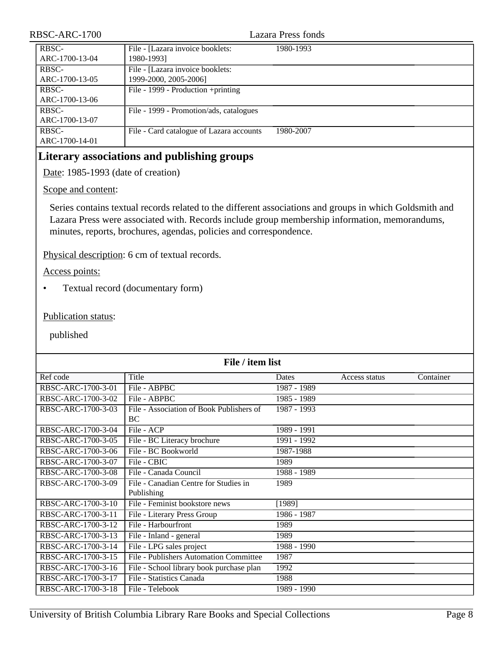| RBSC-ARC-1700           |                                                           | Lazara Press fonds |
|-------------------------|-----------------------------------------------------------|--------------------|
| RBSC-<br>ARC-1700-13-04 | File - [Lazara invoice booklets:<br>1980-1993]            | 1980-1993          |
| RBSC-<br>ARC-1700-13-05 | File - [Lazara invoice booklets:<br>1999-2000, 2005-2006] |                    |
| RBSC-<br>ARC-1700-13-06 | File - 1999 - Production +printing                        |                    |
| RBSC-<br>ARC-1700-13-07 | File - 1999 - Promotion/ads, catalogues                   |                    |
| RBSC-<br>ARC-1700-14-01 | File - Card catalogue of Lazara accounts                  | 1980-2007          |

## <span id="page-7-0"></span>**Literary associations and publishing groups**

Date: 1985-1993 (date of creation)

Scope and content:

Series contains textual records related to the different associations and groups in which Goldsmith and Lazara Press were associated with. Records include group membership information, memorandums, minutes, reports, brochures, agendas, policies and correspondence.

Physical description: 6 cm of textual records.

Access points:

• Textual record (documentary form)

Publication status:

| File / item list   |                                          |             |               |           |
|--------------------|------------------------------------------|-------------|---------------|-----------|
| Ref code           | Title                                    | Dates       | Access status | Container |
| RBSC-ARC-1700-3-01 | File - ABPBC                             | 1987 - 1989 |               |           |
| RBSC-ARC-1700-3-02 | File - ABPBC                             | 1985 - 1989 |               |           |
| RBSC-ARC-1700-3-03 | File - Association of Book Publishers of | 1987 - 1993 |               |           |
|                    | BC                                       |             |               |           |
| RBSC-ARC-1700-3-04 | File - ACP                               | 1989 - 1991 |               |           |
| RBSC-ARC-1700-3-05 | File - BC Literacy brochure              | 1991 - 1992 |               |           |
| RBSC-ARC-1700-3-06 | File - BC Bookworld                      | 1987-1988   |               |           |
| RBSC-ARC-1700-3-07 | File - CBIC                              | 1989        |               |           |
| RBSC-ARC-1700-3-08 | File - Canada Council                    | 1988 - 1989 |               |           |
| RBSC-ARC-1700-3-09 | File - Canadian Centre for Studies in    | 1989        |               |           |
|                    | Publishing                               |             |               |           |
| RBSC-ARC-1700-3-10 | File - Feminist bookstore news           | [1989]      |               |           |
| RBSC-ARC-1700-3-11 | File - Literary Press Group              | 1986 - 1987 |               |           |
| RBSC-ARC-1700-3-12 | File - Harbourfront                      | 1989        |               |           |
| RBSC-ARC-1700-3-13 | File - Inland - general                  | 1989        |               |           |
| RBSC-ARC-1700-3-14 | File - LPG sales project                 | 1988 - 1990 |               |           |
| RBSC-ARC-1700-3-15 | File - Publishers Automation Committee   | 1987        |               |           |
| RBSC-ARC-1700-3-16 | File - School library book purchase plan | 1992        |               |           |
| RBSC-ARC-1700-3-17 | File - Statistics Canada                 | 1988        |               |           |
| RBSC-ARC-1700-3-18 | File - Telebook                          | 1989 - 1990 |               |           |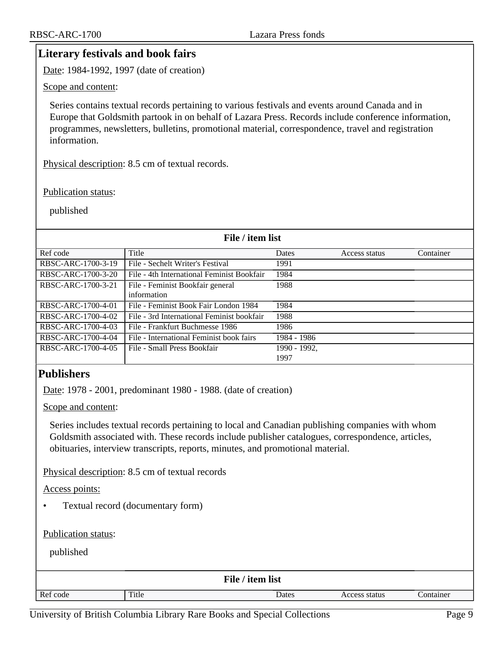## <span id="page-8-0"></span>**Literary festivals and book fairs**

Date: 1984-1992, 1997 (date of creation)

Scope and content:

Series contains textual records pertaining to various festivals and events around Canada and in Europe that Goldsmith partook in on behalf of Lazara Press. Records include conference information, programmes, newsletters, bulletins, promotional material, correspondence, travel and registration information.

Physical description: 8.5 cm of textual records.

#### Publication status:

published

#### **File / item list**

| Ref code           | Title                                      | <b>Dates</b> | Access status | Container |
|--------------------|--------------------------------------------|--------------|---------------|-----------|
| RBSC-ARC-1700-3-19 | File - Sechelt Writer's Festival           | 1991         |               |           |
| RBSC-ARC-1700-3-20 | File - 4th International Feminist Bookfair | 1984         |               |           |
| RBSC-ARC-1700-3-21 | File - Feminist Bookfair general           | 1988         |               |           |
|                    | information                                |              |               |           |
| RBSC-ARC-1700-4-01 | File - Feminist Book Fair London 1984      | 1984         |               |           |
| RBSC-ARC-1700-4-02 | File - 3rd International Feminist bookfair | 1988         |               |           |
| RBSC-ARC-1700-4-03 | File - Frankfurt Buchmesse 1986            | 1986         |               |           |
| RBSC-ARC-1700-4-04 | File - International Feminist book fairs   | 1984 - 1986  |               |           |
| RBSC-ARC-1700-4-05 | File - Small Press Bookfair                | 1990 - 1992, |               |           |
|                    |                                            | 1997         |               |           |

## <span id="page-8-1"></span>**Publishers**

Date: 1978 - 2001, predominant 1980 - 1988. (date of creation)

Scope and content:

Series includes textual records pertaining to local and Canadian publishing companies with whom Goldsmith associated with. These records include publisher catalogues, correspondence, articles, obituaries, interview transcripts, reports, minutes, and promotional material.

Physical description: 8.5 cm of textual records

Access points:

• Textual record (documentary form)

Publication status:

| File / item list |       |       |               |           |
|------------------|-------|-------|---------------|-----------|
| Ref code         | Title | Dates | Access status | Container |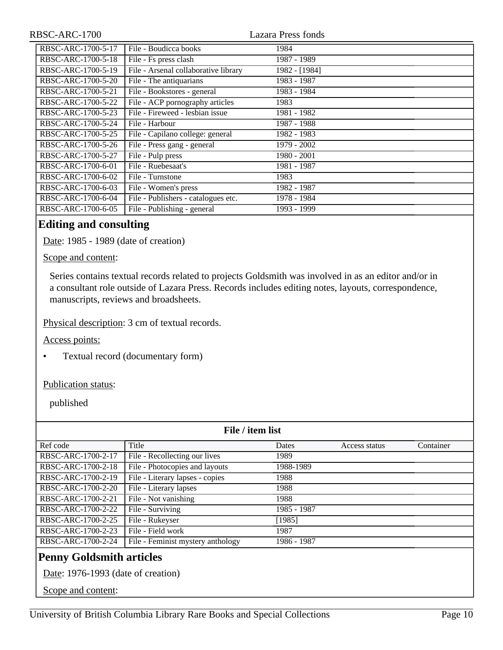| RBSC-ARC-1700      |                                      | <b>Lazara Press fonds</b> |  |
|--------------------|--------------------------------------|---------------------------|--|
| RBSC-ARC-1700-5-17 | File - Boudicca books                | 1984                      |  |
| RBSC-ARC-1700-5-18 | File - Fs press clash                | 1987 - 1989               |  |
| RBSC-ARC-1700-5-19 | File - Arsenal collaborative library | 1982 - [1984]             |  |
| RBSC-ARC-1700-5-20 | File - The antiquarians              | 1983 - 1987               |  |
| RBSC-ARC-1700-5-21 | File - Bookstores - general          | 1983 - 1984               |  |
| RBSC-ARC-1700-5-22 | File - ACP pornography articles      | 1983                      |  |
| RBSC-ARC-1700-5-23 | File - Fireweed - lesbian issue      | 1981 - 1982               |  |
| RBSC-ARC-1700-5-24 | File - Harbour                       | 1987 - 1988               |  |
| RBSC-ARC-1700-5-25 | File - Capilano college: general     | 1982 - 1983               |  |
| RBSC-ARC-1700-5-26 | File - Press gang - general          | 1979 - 2002               |  |
| RBSC-ARC-1700-5-27 | File - Pulp press                    | 1980 - 2001               |  |
| RBSC-ARC-1700-6-01 | File - Ruebesaat's                   | 1981 - 1987               |  |
| RBSC-ARC-1700-6-02 | File - Turnstone                     | 1983                      |  |
| RBSC-ARC-1700-6-03 | File - Women's press                 | 1982 - 1987               |  |
| RBSC-ARC-1700-6-04 | File - Publishers - catalogues etc.  | 1978 - 1984               |  |
| RBSC-ARC-1700-6-05 | File - Publishing - general          | 1993 - 1999               |  |

## <span id="page-9-0"></span>**Editing and consulting**

Date: 1985 - 1989 (date of creation)

#### Scope and content:

Series contains textual records related to projects Goldsmith was involved in as an editor and/or in a consultant role outside of Lazara Press. Records includes editing notes, layouts, correspondence, manuscripts, reviews and broadsheets.

Physical description: 3 cm of textual records.

Access points:

• Textual record (documentary form)

Publication status:

<span id="page-9-1"></span>

| File / item list                                                                            |                                   |             |               |           |
|---------------------------------------------------------------------------------------------|-----------------------------------|-------------|---------------|-----------|
| Ref code                                                                                    | Title                             | Dates       | Access status | Container |
| RBSC-ARC-1700-2-17                                                                          | File - Recollecting our lives     | 1989        |               |           |
| RBSC-ARC-1700-2-18                                                                          | File - Photocopies and layouts    | 1988-1989   |               |           |
| RBSC-ARC-1700-2-19                                                                          | File - Literary lapses - copies   | 1988        |               |           |
| RBSC-ARC-1700-2-20                                                                          | File - Literary lapses            | 1988        |               |           |
| RBSC-ARC-1700-2-21                                                                          | File - Not vanishing              | 1988        |               |           |
| RBSC-ARC-1700-2-22                                                                          | File - Surviving                  | 1985 - 1987 |               |           |
| RBSC-ARC-1700-2-25                                                                          | File - Rukeyser                   | [1985]      |               |           |
| RBSC-ARC-1700-2-23                                                                          | File - Field work                 | 1987        |               |           |
| RBSC-ARC-1700-2-24                                                                          | File - Feminist mystery anthology | 1986 - 1987 |               |           |
| <b>Penny Goldsmith articles</b><br>Date: 1976-1993 (date of creation)<br>Scope and content: |                                   |             |               |           |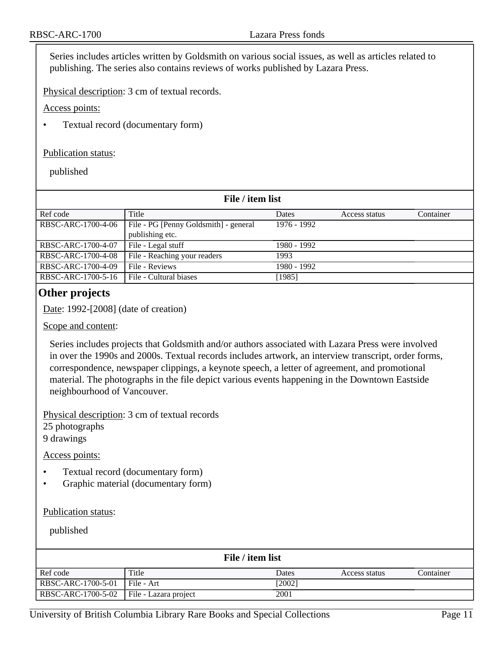Series includes articles written by Goldsmith on various social issues, as well as articles related to publishing. The series also contains reviews of works published by Lazara Press.

Physical description: 3 cm of textual records.

Access points:

• Textual record (documentary form)

#### Publication status:

published

| File / item list   |                                       |              |               |           |
|--------------------|---------------------------------------|--------------|---------------|-----------|
| Ref code           | Title                                 | <b>Dates</b> | Access status | Container |
| RBSC-ARC-1700-4-06 | File - PG [Penny Goldsmith] - general | 1976 - 1992  |               |           |
|                    | publishing etc.                       |              |               |           |
| RBSC-ARC-1700-4-07 | File - Legal stuff                    | 1980 - 1992  |               |           |
| RBSC-ARC-1700-4-08 | File - Reaching your readers          | 1993         |               |           |
| RBSC-ARC-1700-4-09 | File - Reviews                        | 1980 - 1992  |               |           |
| RBSC-ARC-1700-5-16 | File - Cultural biases                | [1985]       |               |           |

## <span id="page-10-0"></span>**Other projects**

Date: 1992-[2008] (date of creation)

#### Scope and content:

Series includes projects that Goldsmith and/or authors associated with Lazara Press were involved in over the 1990s and 2000s. Textual records includes artwork, an interview transcript, order forms, correspondence, newspaper clippings, a keynote speech, a letter of agreement, and promotional material. The photographs in the file depict various events happening in the Downtown Eastside neighbourhood of Vancouver.

Physical description: 3 cm of textual records 25 photographs 9 drawings

#### Access points:

- Textual record (documentary form)
- Graphic material (documentary form)

#### Publication status:

published

|                                            |       | File / item list |               |           |
|--------------------------------------------|-------|------------------|---------------|-----------|
| Ref code                                   | Title | Dates            | Access status | Container |
| RBSC-ARC-1700-5-01   File - Art            |       | [2002]           |               |           |
| RBSC-ARC-1700-5-02   File - Lazara project |       | 2001             |               |           |

University of British Columbia Library Rare Books and Special Collections Page 11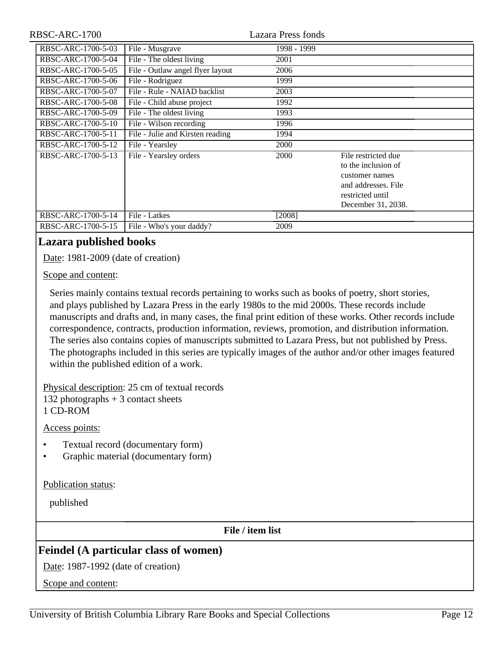| RBSC-ARC-1700      |                                  | Lazara Press fonds |                                                                                                                               |  |
|--------------------|----------------------------------|--------------------|-------------------------------------------------------------------------------------------------------------------------------|--|
| RBSC-ARC-1700-5-03 | File - Musgrave                  | 1998 - 1999        |                                                                                                                               |  |
| RBSC-ARC-1700-5-04 | File - The oldest living         | 2001               |                                                                                                                               |  |
| RBSC-ARC-1700-5-05 | File - Outlaw angel flyer layout | 2006               |                                                                                                                               |  |
| RBSC-ARC-1700-5-06 | File - Rodriguez                 | 1999               |                                                                                                                               |  |
| RBSC-ARC-1700-5-07 | File - Rule - NAIAD backlist     | 2003               |                                                                                                                               |  |
| RBSC-ARC-1700-5-08 | File - Child abuse project       | 1992               |                                                                                                                               |  |
| RBSC-ARC-1700-5-09 | File - The oldest living         | 1993               |                                                                                                                               |  |
| RBSC-ARC-1700-5-10 | File - Wilson recording          | 1996               |                                                                                                                               |  |
| RBSC-ARC-1700-5-11 | File - Julie and Kirsten reading | 1994               |                                                                                                                               |  |
| RBSC-ARC-1700-5-12 | File - Yearsley                  | 2000               |                                                                                                                               |  |
| RBSC-ARC-1700-5-13 | File - Yearsley orders           | 2000               | File restricted due<br>to the inclusion of<br>customer names<br>and addresses. File<br>restricted until<br>December 31, 2038. |  |
| RBSC-ARC-1700-5-14 | File - Latkes                    | [2008]             |                                                                                                                               |  |
| RBSC-ARC-1700-5-15 | File - Who's your daddy?         | 2009               |                                                                                                                               |  |

## <span id="page-11-0"></span>**Lazara published books**

Date: 1981-2009 (date of creation)

Scope and content:

Series mainly contains textual records pertaining to works such as books of poetry, short stories, and plays published by Lazara Press in the early 1980s to the mid 2000s. These records include manuscripts and drafts and, in many cases, the final print edition of these works. Other records include correspondence, contracts, production information, reviews, promotion, and distribution information. The series also contains copies of manuscripts submitted to Lazara Press, but not published by Press. The photographs included in this series are typically images of the author and/or other images featured within the published edition of a work.

Physical description: 25 cm of textual records 132 photographs + 3 contact sheets 1 CD-ROM

Access points:

- Textual record (documentary form)
- Graphic material (documentary form)

Publication status:

published

**File / item list**

## <span id="page-11-1"></span>**Feindel (A particular class of women)**

Date: 1987-1992 (date of creation)

Scope and content: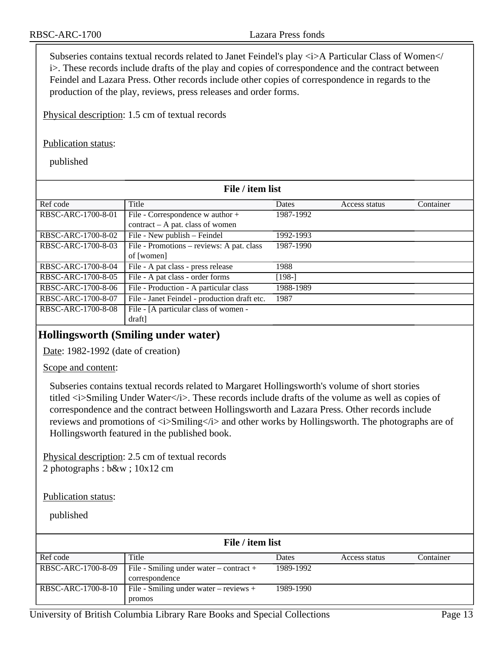Subseries contains textual records related to Janet Feindel's play  $\langle i \rangle$ A Particular Class of Women $\langle i \rangle$ i>. These records include drafts of the play and copies of correspondence and the contract between Feindel and Lazara Press. Other records include other copies of correspondence in regards to the production of the play, reviews, press releases and order forms.

Physical description: 1.5 cm of textual records

#### Publication status:

published

| File / item list   |                                                                      |           |               |           |
|--------------------|----------------------------------------------------------------------|-----------|---------------|-----------|
| Ref code           | Title                                                                | Dates     | Access status | Container |
| RBSC-ARC-1700-8-01 | File - Correspondence w author +<br>contract – A pat. class of women | 1987-1992 |               |           |
| RBSC-ARC-1700-8-02 | File - New publish - Feindel                                         | 1992-1993 |               |           |
| RBSC-ARC-1700-8-03 | File - Promotions - reviews: A pat. class<br>of [women]              | 1987-1990 |               |           |
| RBSC-ARC-1700-8-04 | File - A pat class - press release                                   | 1988      |               |           |
| RBSC-ARC-1700-8-05 | File - A pat class - order forms                                     | $[198-]$  |               |           |
| RBSC-ARC-1700-8-06 | File - Production - A particular class                               | 1988-1989 |               |           |
| RBSC-ARC-1700-8-07 | File - Janet Feindel - production draft etc.                         | 1987      |               |           |
| RBSC-ARC-1700-8-08 | File - [A particular class of women -<br>draft]                      |           |               |           |

## <span id="page-12-0"></span>**Hollingsworth (Smiling under water)**

Date: 1982-1992 (date of creation)

Scope and content:

Subseries contains textual records related to Margaret Hollingsworth's volume of short stories titled  $\langle i \rangle$ Smiling Under Water $\langle i \rangle$ . These records include drafts of the volume as well as copies of correspondence and the contract between Hollingsworth and Lazara Press. Other records include reviews and promotions of  $\langle i \rangle$ Smiling $\langle i \rangle$  and other works by Hollingsworth. The photographs are of Hollingsworth featured in the published book.

Physical description: 2.5 cm of textual records 2 photographs : b&w ; 10x12 cm

Publication status:

| File / item list   |                                                           |           |               |           |
|--------------------|-----------------------------------------------------------|-----------|---------------|-----------|
| Ref code           | Title                                                     | Dates     | Access status | Container |
| RBSC-ARC-1700-8-09 | File - Smiling under water – contract +<br>correspondence | 1989-1992 |               |           |
| RBSC-ARC-1700-8-10 | File - Smiling under water – reviews +<br>promos          | 1989-1990 |               |           |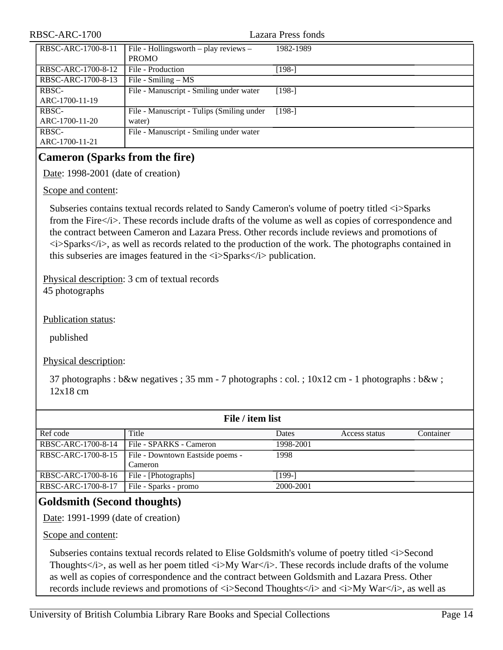| RBSC-ARC-1700           |                                                       | Lazara Press fonds |
|-------------------------|-------------------------------------------------------|--------------------|
| RBSC-ARC-1700-8-11      | File - Hollingsworth – play reviews –<br><b>PROMO</b> | 1982-1989          |
| RBSC-ARC-1700-8-12      | File - Production                                     | $[198-]$           |
| RBSC-ARC-1700-8-13      | File - Smiling $- MS$                                 |                    |
| RBSC-<br>ARC-1700-11-19 | File - Manuscript - Smiling under water               | $[198-]$           |
| RBSC-<br>ARC-1700-11-20 | File - Manuscript - Tulips (Smiling under<br>water)   | $[198-]$           |
| RBSC-<br>ARC-1700-11-21 | File - Manuscript - Smiling under water               |                    |

## <span id="page-13-0"></span>**Cameron (Sparks from the fire)**

Date: 1998-2001 (date of creation)

Scope and content:

Subseries contains textual records related to Sandy Cameron's volume of poetry titled  $\langle i \rangle$ Sparks from the Fire $\langle i \rangle$ . These records include drafts of the volume as well as copies of correspondence and the contract between Cameron and Lazara Press. Other records include reviews and promotions of  $\langle i \rangle$ Sparks $\langle i \rangle$ , as well as records related to the production of the work. The photographs contained in this subseries are images featured in the  $\langle i \rangle$ Sparks $\langle i \rangle$  publication.

Physical description: 3 cm of textual records 45 photographs

Publication status:

published

Physical description:

37 photographs : b&w negatives ; 35 mm - 7 photographs : col. ; 10x12 cm - 1 photographs : b&w ; 12x18 cm

|                    | File / item list                 |           |               |           |
|--------------------|----------------------------------|-----------|---------------|-----------|
| Ref code           | Title                            | Dates     | Access status | Container |
| RBSC-ARC-1700-8-14 | File - SPARKS - Cameron          | 1998-2001 |               |           |
| RBSC-ARC-1700-8-15 | File - Downtown Eastside poems - | 1998      |               |           |
|                    | Cameron                          |           |               |           |
| RBSC-ARC-1700-8-16 | File - [Photographs]             | [199-]    |               |           |
| RBSC-ARC-1700-8-17 | File - Sparks - promo            | 2000-2001 |               |           |

## <span id="page-13-1"></span>**Goldsmith (Second thoughts)**

Date: 1991-1999 (date of creation)

Scope and content:

Subseries contains textual records related to Elise Goldsmith's volume of poetry titled <i>Second Thoughts  $\langle i \rangle$ , as well as her poem titled  $\langle i \rangle$  War $\langle i \rangle$ . These records include drafts of the volume as well as copies of correspondence and the contract between Goldsmith and Lazara Press. Other records include reviews and promotions of  $\langle i \rangle$ Second Thoughts $\langle i \rangle$  and  $\langle i \rangle$ My War $\langle i \rangle$ , as well as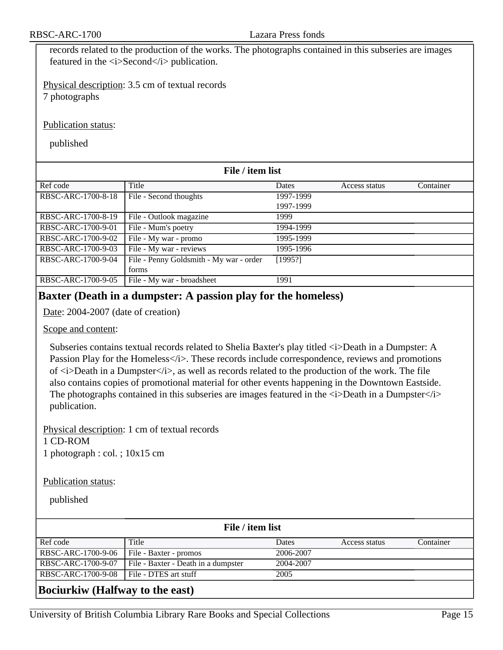records related to the production of the works. The photographs contained in this subseries are images featured in the *s*i>Second is publication.

Physical description: 3.5 cm of textual records 7 photographs

Publication status:

published

|                    | File / item list                        |              |               |           |
|--------------------|-----------------------------------------|--------------|---------------|-----------|
| Ref code           | Title                                   | <b>Dates</b> | Access status | Container |
| RBSC-ARC-1700-8-18 | File - Second thoughts                  | 1997-1999    |               |           |
|                    |                                         | 1997-1999    |               |           |
| RBSC-ARC-1700-8-19 | File - Outlook magazine                 | 1999         |               |           |
| RBSC-ARC-1700-9-01 | File - Mum's poetry                     | 1994-1999    |               |           |
| RBSC-ARC-1700-9-02 | File - My war - promo                   | 1995-1999    |               |           |
| RBSC-ARC-1700-9-03 | File - My war - reviews                 | 1995-1996    |               |           |
| RBSC-ARC-1700-9-04 | File - Penny Goldsmith - My war - order | [1995!]      |               |           |
|                    | forms                                   |              |               |           |
| RBSC-ARC-1700-9-05 | File - My war - broadsheet              | 1991         |               |           |

## <span id="page-14-0"></span>**Baxter (Death in a dumpster: A passion play for the homeless)**

Date: 2004-2007 (date of creation)

#### Scope and content:

Subseries contains textual records related to Shelia Baxter's play titled  $\langle i \rangle$ Death in a Dumpster: A Passion Play for the Homeless </i>>>>>. These records include correspondence, reviews and promotions of  $\langle i\rangle$ Death in a Dumpster $\langle i\rangle$ , as well as records related to the production of the work. The file also contains copies of promotional material for other events happening in the Downtown Eastside. The photographs contained in this subseries are images featured in the  $\langle \cdot \rangle$ Death in a Dumpster $\langle \cdot \rangle$ publication.

Physical description: 1 cm of textual records

1 CD-ROM

1 photograph : col. ; 10x15 cm

#### Publication status:

published

|                    | File / item list                    |           |               |           |
|--------------------|-------------------------------------|-----------|---------------|-----------|
| Ref code           | Title                               | Dates     | Access status | Container |
| RBSC-ARC-1700-9-06 | File - Baxter - promos              | 2006-2007 |               |           |
| RBSC-ARC-1700-9-07 | File - Baxter - Death in a dumpster | 2004-2007 |               |           |
| RBSC-ARC-1700-9-08 | File - DTES art stuff               | 2005      |               |           |
|                    |                                     |           |               |           |

#### <span id="page-14-1"></span>**Bociurkiw (Halfway to the east)**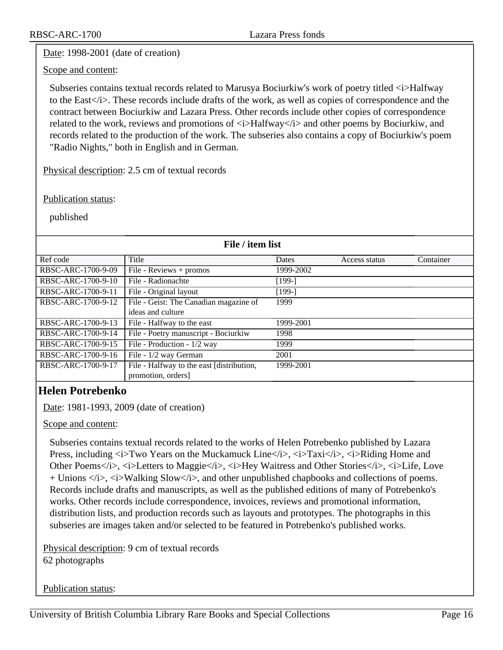RBSC-ARC-1700 Lazara Press fonds

## Date: 1998-2001 (date of creation)

Scope and content:

Subseries contains textual records related to Marusya Bociurkiw's work of poetry titled  $\langle i \rangle$ Halfway to the East $\langle i \rangle$ . These records include drafts of the work, as well as copies of correspondence and the contract between Bociurkiw and Lazara Press. Other records include other copies of correspondence related to the work, reviews and promotions of  $\langle i \rangle$ Halfway $\langle i \rangle$  and other poems by Bociurkiw, and records related to the production of the work. The subseries also contains a copy of Bociurkiw's poem "Radio Nights," both in English and in German.

Physical description: 2.5 cm of textual records

#### Publication status:

published

| File / item list   |                                             |           |               |           |
|--------------------|---------------------------------------------|-----------|---------------|-----------|
| Ref code           | Title                                       | Dates     | Access status | Container |
| RBSC-ARC-1700-9-09 | $\overline{\text{File}}$ - Reviews + promos | 1999-2002 |               |           |
| RBSC-ARC-1700-9-10 | File - Radionachte                          | $[199-]$  |               |           |
| RBSC-ARC-1700-9-11 | File - Original layout                      | $[199-]$  |               |           |
| RBSC-ARC-1700-9-12 | File - Geist: The Canadian magazine of      | 1999      |               |           |
|                    | ideas and culture                           |           |               |           |
| RBSC-ARC-1700-9-13 | File - Halfway to the east                  | 1999-2001 |               |           |
| RBSC-ARC-1700-9-14 | File - Poetry manuscript - Bociurkiw        | 1998      |               |           |
| RBSC-ARC-1700-9-15 | File - Production - 1/2 way                 | 1999      |               |           |
| RBSC-ARC-1700-9-16 | File - 1/2 way German                       | 2001      |               |           |
| RBSC-ARC-1700-9-17 | File - Halfway to the east [distribution,   | 1999-2001 |               |           |
|                    | promotion, orders]                          |           |               |           |

## <span id="page-15-0"></span>**Helen Potrebenko**

Date: 1981-1993, 2009 (date of creation)

Scope and content:

Subseries contains textual records related to the works of Helen Potrebenko published by Lazara Press, including  $\langle i \rangle$ Two Years on the Muckamuck Line $\langle i \rangle$ ,  $\langle i \rangle$ Taxi $\langle i \rangle$ ,  $\langle i \rangle$ Riding Home and Other Poems</i>, <i>Letters to Maggie</i>, <i>Hey Waitress and Other Stories</i>, <i>Life, Love + Unions  $\langle x \rangle$ ,  $\langle x \rangle$  Walking Slow $\langle x \rangle$ , and other unpublished chapbooks and collections of poems. Records include drafts and manuscripts, as well as the published editions of many of Potrebenko's works. Other records include correspondence, invoices, reviews and promotional information, distribution lists, and production records such as layouts and prototypes. The photographs in this subseries are images taken and/or selected to be featured in Potrebenko's published works.

Physical description: 9 cm of textual records 62 photographs

Publication status: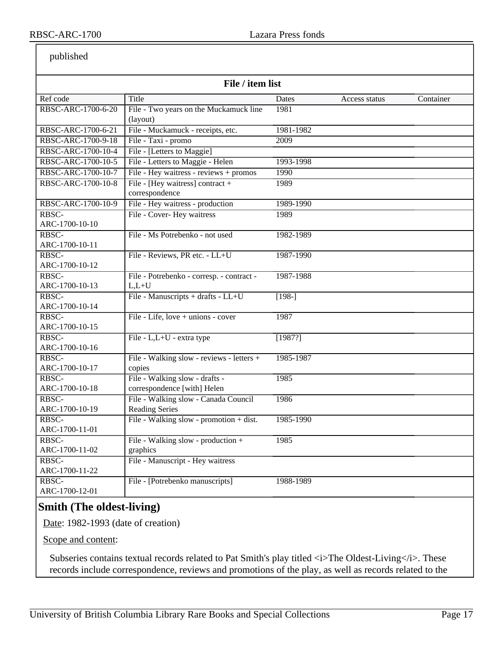published

|                    | File / item list                          |           |               |           |
|--------------------|-------------------------------------------|-----------|---------------|-----------|
| Ref code           | Title                                     | Dates     | Access status | Container |
| RBSC-ARC-1700-6-20 | File - Two years on the Muckamuck line    | 1981      |               |           |
|                    | (layout)                                  |           |               |           |
| RBSC-ARC-1700-6-21 | File - Muckamuck - receipts, etc.         | 1981-1982 |               |           |
| RBSC-ARC-1700-9-18 | File - Taxi - promo                       | 2009      |               |           |
| RBSC-ARC-1700-10-4 | File - [Letters to Maggie]                |           |               |           |
| RBSC-ARC-1700-10-5 | File - Letters to Maggie - Helen          | 1993-1998 |               |           |
| RBSC-ARC-1700-10-7 | File - Hey waitress - reviews + promos    | 1990      |               |           |
| RBSC-ARC-1700-10-8 | File - [Hey waitress] contract +          | 1989      |               |           |
|                    | correspondence                            |           |               |           |
| RBSC-ARC-1700-10-9 | File - Hey waitress - production          | 1989-1990 |               |           |
| RBSC-              | File - Cover- Hey waitress                | 1989      |               |           |
| ARC-1700-10-10     |                                           |           |               |           |
| RBSC-              | File - Ms Potrebenko - not used           | 1982-1989 |               |           |
| ARC-1700-10-11     |                                           |           |               |           |
| RBSC-              | File - Reviews, PR etc. - LL+U            | 1987-1990 |               |           |
| ARC-1700-10-12     |                                           |           |               |           |
| RBSC-              | File - Potrebenko - corresp. - contract - | 1987-1988 |               |           |
| ARC-1700-10-13     | $L,L+U$                                   |           |               |           |
| RBSC-              | File - Manuscripts + drafts - LL+U        | $[198-]$  |               |           |
| ARC-1700-10-14     |                                           |           |               |           |
| RBSC-              | File - Life, love + unions - cover        | 1987      |               |           |
| ARC-1700-10-15     |                                           |           |               |           |
| RBSC-              | File - L,L+U - extra type                 | [1987?]   |               |           |
| ARC-1700-10-16     |                                           |           |               |           |
| RBSC-              | File - Walking slow - reviews - letters + | 1985-1987 |               |           |
| ARC-1700-10-17     | copies                                    |           |               |           |
| RBSC-              | File - Walking slow - drafts -            | 1985      |               |           |
| ARC-1700-10-18     | correspondence [with] Helen               |           |               |           |
| RBSC-              | File - Walking slow - Canada Council      | 1986      |               |           |
| ARC-1700-10-19     | <b>Reading Series</b>                     |           |               |           |
| RBSC-              | File - Walking slow - promotion + dist.   | 1985-1990 |               |           |
| ARC-1700-11-01     |                                           |           |               |           |
| RBSC-              | File - Walking slow - production +        | 1985      |               |           |
| ARC-1700-11-02     | graphics                                  |           |               |           |
| RBSC-              | File - Manuscript - Hey waitress          |           |               |           |
| ARC-1700-11-22     |                                           |           |               |           |
| RBSC-              | File - [Potrebenko manuscripts]           | 1988-1989 |               |           |
| ARC-1700-12-01     |                                           |           |               |           |

## <span id="page-16-0"></span>**Smith (The oldest-living)**

Date: 1982-1993 (date of creation)

Scope and content:

Subseries contains textual records related to Pat Smith's play titled  $\langle i \rangle$ The Oldest-Living $\langle i \rangle$ . These records include correspondence, reviews and promotions of the play, as well as records related to the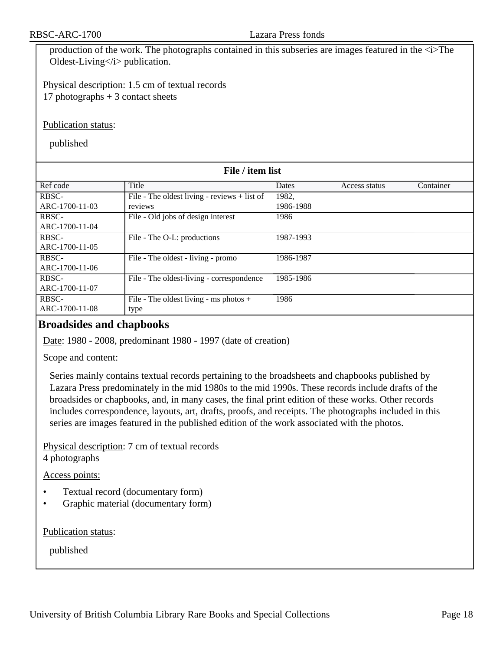production of the work. The photographs contained in this subseries are images featured in the  $\langle i \rangle$ The Oldest-Living</i> publication.

Physical description: 1.5 cm of textual records 17 photographs  $+3$  contact sheets

Publication status:

published

| File / item list |                                              |              |               |           |
|------------------|----------------------------------------------|--------------|---------------|-----------|
| Ref code         | Title                                        | <b>Dates</b> | Access status | Container |
| RBSC-            | File - The oldest living - reviews + list of | 1982,        |               |           |
| ARC-1700-11-03   | reviews                                      | 1986-1988    |               |           |
| RBSC-            | File - Old jobs of design interest           | 1986         |               |           |
| ARC-1700-11-04   |                                              |              |               |           |
| RBSC-            | File - The O-L: productions                  | 1987-1993    |               |           |
| ARC-1700-11-05   |                                              |              |               |           |
| RBSC-            | File - The oldest - living - promo           | 1986-1987    |               |           |
| ARC-1700-11-06   |                                              |              |               |           |
| RBSC-            | File - The oldest-living - correspondence    | 1985-1986    |               |           |
| ARC-1700-11-07   |                                              |              |               |           |
| RBSC-            | File - The oldest living - ms photos +       | 1986         |               |           |
| ARC-1700-11-08   | type                                         |              |               |           |

## <span id="page-17-0"></span>**Broadsides and chapbooks**

Date: 1980 - 2008, predominant 1980 - 1997 (date of creation)

Scope and content:

Series mainly contains textual records pertaining to the broadsheets and chapbooks published by Lazara Press predominately in the mid 1980s to the mid 1990s. These records include drafts of the broadsides or chapbooks, and, in many cases, the final print edition of these works. Other records includes correspondence, layouts, art, drafts, proofs, and receipts. The photographs included in this series are images featured in the published edition of the work associated with the photos.

Physical description: 7 cm of textual records 4 photographs

Access points:

- Textual record (documentary form)
- Graphic material (documentary form)

Publication status: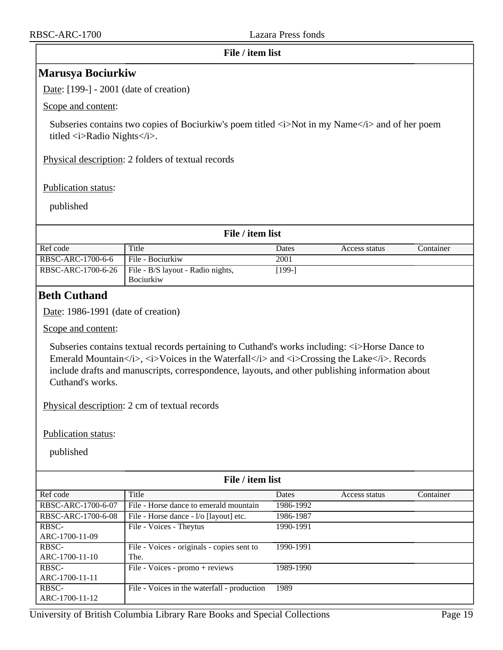<span id="page-18-0"></span>

| File / item list                                                                                                                                                                                 |
|--------------------------------------------------------------------------------------------------------------------------------------------------------------------------------------------------|
| <b>Marusya Bociurkiw</b>                                                                                                                                                                         |
| Date: $[199-] - 2001$ (date of creation)                                                                                                                                                         |
| Scope and content:                                                                                                                                                                               |
| Subseries contains two copies of Bociurkiw's poem titled $\langle i \rangle$ Not in my Name $\langle i \rangle$ and of her poem<br>titled $\langle i \rangle$ Radio Nights $\langle i \rangle$ . |
| Physical description: 2 folders of textual records                                                                                                                                               |
| <b>Publication status:</b>                                                                                                                                                                       |
| published                                                                                                                                                                                        |
| File / item list                                                                                                                                                                                 |

| Ref code           | Title                             | Dates   | Access status | Container |
|--------------------|-----------------------------------|---------|---------------|-----------|
| RBSC-ARC-1700-6-6  | File - Bociurkiw                  | 2001    |               |           |
| RBSC-ARC-1700-6-26 | File - B/S layout - Radio nights, | $199-1$ |               |           |
|                    | <b>Bociurkiw</b>                  |         |               |           |

## <span id="page-18-1"></span>**Beth Cuthand**

Date: 1986-1991 (date of creation)

Scope and content:

Subseries contains textual records pertaining to Cuthand's works including:  $\langle i \rangle$ Horse Dance to Emerald Mountain $\langle i \rangle$ ,  $\langle i \rangle$ Voices in the Waterfall $\langle i \rangle$  and  $\langle i \rangle$ Crossing the Lake $\langle i \rangle$ . Records include drafts and manuscripts, correspondence, layouts, and other publishing information about Cuthand's works.

Physical description: 2 cm of textual records

Publication status:

| File / item list        |                                                    |           |               |           |
|-------------------------|----------------------------------------------------|-----------|---------------|-----------|
| Ref code                | Title                                              | Dates     | Access status | Container |
| RBSC-ARC-1700-6-07      | File - Horse dance to emerald mountain             | 1986-1992 |               |           |
| RBSC-ARC-1700-6-08      | File - Horse dance - 1/o [layout] etc.             | 1986-1987 |               |           |
| RBSC-                   | File - Voices - Theytus                            | 1990-1991 |               |           |
| ARC-1700-11-09          |                                                    |           |               |           |
| RBSC-<br>ARC-1700-11-10 | File - Voices - originals - copies sent to<br>The. | 1990-1991 |               |           |
| RBSC-                   | File - Voices - promo + reviews                    | 1989-1990 |               |           |
| ARC-1700-11-11          |                                                    |           |               |           |
| RBSC-<br>ARC-1700-11-12 | File - Voices in the waterfall - production        | 1989      |               |           |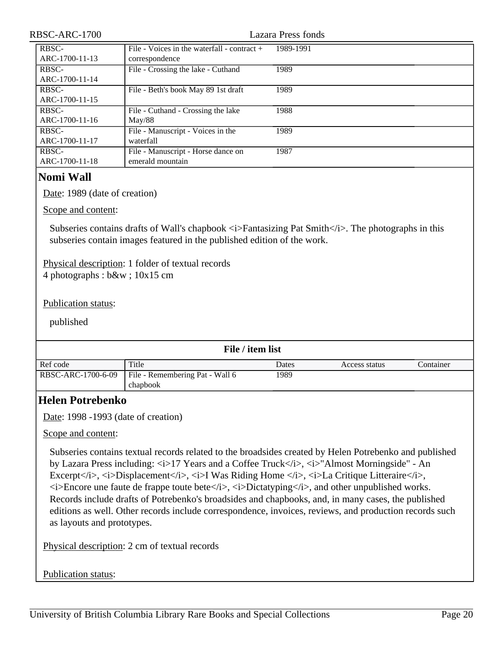<span id="page-19-1"></span><span id="page-19-0"></span>

| RBSC-ARC-1700                          |                                                                                                                                                                    | <b>Lazara Press fonds</b> |               |           |
|----------------------------------------|--------------------------------------------------------------------------------------------------------------------------------------------------------------------|---------------------------|---------------|-----------|
| RBSC-                                  | File - Voices in the waterfall - contract +                                                                                                                        | 1989-1991                 |               |           |
| ARC-1700-11-13                         | correspondence                                                                                                                                                     |                           |               |           |
| RBSC-                                  | File - Crossing the lake - Cuthand                                                                                                                                 | 1989                      |               |           |
| ARC-1700-11-14                         |                                                                                                                                                                    |                           |               |           |
| RBSC-                                  | File - Beth's book May 89 1st draft                                                                                                                                | 1989                      |               |           |
| ARC-1700-11-15                         |                                                                                                                                                                    |                           |               |           |
| RBSC-                                  | File - Cuthand - Crossing the lake                                                                                                                                 | 1988                      |               |           |
| ARC-1700-11-16                         | May/88                                                                                                                                                             |                           |               |           |
| RBSC-                                  | File - Manuscript - Voices in the                                                                                                                                  | 1989                      |               |           |
| ARC-1700-11-17                         | waterfall                                                                                                                                                          |                           |               |           |
| RBSC-<br>ARC-1700-11-18                | File - Manuscript - Horse dance on<br>emerald mountain                                                                                                             | 1987                      |               |           |
|                                        |                                                                                                                                                                    |                           |               |           |
| <b>Nomi Wall</b>                       |                                                                                                                                                                    |                           |               |           |
| Date: 1989 (date of creation)          |                                                                                                                                                                    |                           |               |           |
|                                        |                                                                                                                                                                    |                           |               |           |
| Scope and content:                     |                                                                                                                                                                    |                           |               |           |
|                                        |                                                                                                                                                                    |                           |               |           |
|                                        | Subseries contains drafts of Wall's chapbook $\langle i \rangle$ Fantasizing Pat Smith $\langle i \rangle$ . The photographs in this                               |                           |               |           |
|                                        | subseries contain images featured in the published edition of the work.                                                                                            |                           |               |           |
|                                        |                                                                                                                                                                    |                           |               |           |
|                                        | Physical description: 1 folder of textual records                                                                                                                  |                           |               |           |
| 4 photographs : $b\&w$ ; $10x15$ cm    |                                                                                                                                                                    |                           |               |           |
|                                        |                                                                                                                                                                    |                           |               |           |
| <b>Publication status:</b>             |                                                                                                                                                                    |                           |               |           |
|                                        |                                                                                                                                                                    |                           |               |           |
| published                              |                                                                                                                                                                    |                           |               |           |
|                                        |                                                                                                                                                                    |                           |               |           |
|                                        | File / item list                                                                                                                                                   |                           |               |           |
| Ref code                               | Title                                                                                                                                                              | Dates                     | Access status | Container |
| RBSC-ARC-1700-6-09                     | File - Remembering Pat - Wall 6                                                                                                                                    | 1989                      |               |           |
|                                        | chapbook                                                                                                                                                           |                           |               |           |
|                                        |                                                                                                                                                                    |                           |               |           |
| <b>Helen Potrebenko</b>                |                                                                                                                                                                    |                           |               |           |
| Date: $1998 - 1993$ (date of creation) |                                                                                                                                                                    |                           |               |           |
|                                        |                                                                                                                                                                    |                           |               |           |
| Scope and content:                     |                                                                                                                                                                    |                           |               |           |
|                                        |                                                                                                                                                                    |                           |               |           |
|                                        | Subseries contains textual records related to the broadsides created by Helen Potrebenko and published                                                             |                           |               |           |
|                                        | by Lazara Press including: $\langle i \rangle$ 17 Years and a Coffee Truck $\langle i \rangle$ , $\langle i \rangle$ "Almost Morningside" - An                     |                           |               |           |
|                                        | Excerpt, <i>Displacement</i> , <i>I Was Riding Home </i> , <i>La Critique Litteraire</i> ,                                                                         |                           |               |           |
|                                        | $\langle i \rangle$ Encore une faute de frappe toute bete $\langle i \rangle$ , $\langle i \rangle$ Dictatyping $\langle i \rangle$ , and other unpublished works. |                           |               |           |
|                                        | Records include drafts of Potrebenko's broadsides and chapbooks, and, in many cases, the published                                                                 |                           |               |           |
|                                        | editions as well. Other records include correspondence, invoices, reviews, and production records such                                                             |                           |               |           |
| as layouts and prototypes.             |                                                                                                                                                                    |                           |               |           |
|                                        |                                                                                                                                                                    |                           |               |           |
|                                        | Physical description: 2 cm of textual records                                                                                                                      |                           |               |           |
|                                        |                                                                                                                                                                    |                           |               |           |
|                                        |                                                                                                                                                                    |                           |               |           |
| Publication status:                    |                                                                                                                                                                    |                           |               |           |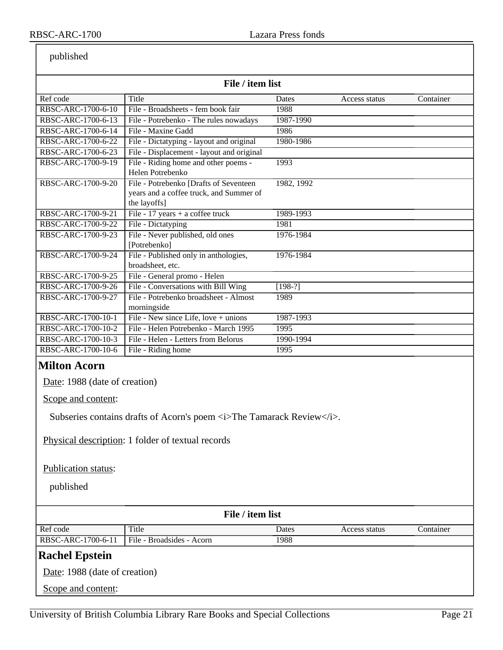published

| published                                                                                                      |                                                                                                                             |            |               |           |
|----------------------------------------------------------------------------------------------------------------|-----------------------------------------------------------------------------------------------------------------------------|------------|---------------|-----------|
| File / item list                                                                                               |                                                                                                                             |            |               |           |
| Ref code                                                                                                       | Title                                                                                                                       | Dates      | Access status | Container |
| RBSC-ARC-1700-6-10                                                                                             | File - Broadsheets - fem book fair                                                                                          | 1988       |               |           |
| RBSC-ARC-1700-6-13                                                                                             | File - Potrebenko - The rules nowadays                                                                                      | 1987-1990  |               |           |
| RBSC-ARC-1700-6-14                                                                                             | File - Maxine Gadd                                                                                                          | 1986       |               |           |
| RBSC-ARC-1700-6-22                                                                                             | File - Dictatyping - layout and original                                                                                    | 1980-1986  |               |           |
| RBSC-ARC-1700-6-23                                                                                             | File - Displacement - layout and original                                                                                   |            |               |           |
| RBSC-ARC-1700-9-19                                                                                             | File - Riding home and other poems -<br>Helen Potrebenko                                                                    | 1993       |               |           |
| RBSC-ARC-1700-9-20                                                                                             | File - Potrebenko [Drafts of Seventeen<br>years and a coffee truck, and Summer of<br>the layoffs]                           | 1982, 1992 |               |           |
| RBSC-ARC-1700-9-21                                                                                             | File - 17 years + a coffee truck                                                                                            | 1989-1993  |               |           |
| RBSC-ARC-1700-9-22                                                                                             | File - Dictatyping                                                                                                          | 1981       |               |           |
| RBSC-ARC-1700-9-23                                                                                             | File - Never published, old ones<br>[Potrebenko]                                                                            | 1976-1984  |               |           |
| RBSC-ARC-1700-9-24                                                                                             | File - Published only in anthologies,<br>broadsheet, etc.                                                                   | 1976-1984  |               |           |
| RBSC-ARC-1700-9-25                                                                                             | File - General promo - Helen                                                                                                |            |               |           |
| RBSC-ARC-1700-9-26                                                                                             | File - Conversations with Bill Wing                                                                                         | $[198-?]$  |               |           |
| RBSC-ARC-1700-9-27                                                                                             | File - Potrebenko broadsheet - Almost<br>morningside                                                                        | 1989       |               |           |
| RBSC-ARC-1700-10-1                                                                                             | File - New since Life, love + unions                                                                                        | 1987-1993  |               |           |
| RBSC-ARC-1700-10-2                                                                                             | File - Helen Potrebenko - March 1995                                                                                        | 1995       |               |           |
| RBSC-ARC-1700-10-3                                                                                             | File - Helen - Letters from Belorus                                                                                         | 1990-1994  |               |           |
| RBSC-ARC-1700-10-6                                                                                             | File - Riding home                                                                                                          | 1995       |               |           |
| <b>Milton Acorn</b><br>Date: 1988 (date of creation)<br>Scope and content:<br>Publication status:<br>published | Subseries contains drafts of Acorn's poem <i>The Tamarack Review</i> .<br>Physical description: 1 folder of textual records |            |               |           |
|                                                                                                                | File / item list                                                                                                            |            |               |           |
| Ref code                                                                                                       | Title                                                                                                                       | Dates      | Access status | Container |
| RBSC-ARC-1700-6-11                                                                                             | File - Broadsides - Acorn                                                                                                   | 1988       |               |           |

# <span id="page-20-1"></span><span id="page-20-0"></span>**Rachel Epstein**

Date: 1988 (date of creation)

Scope and content: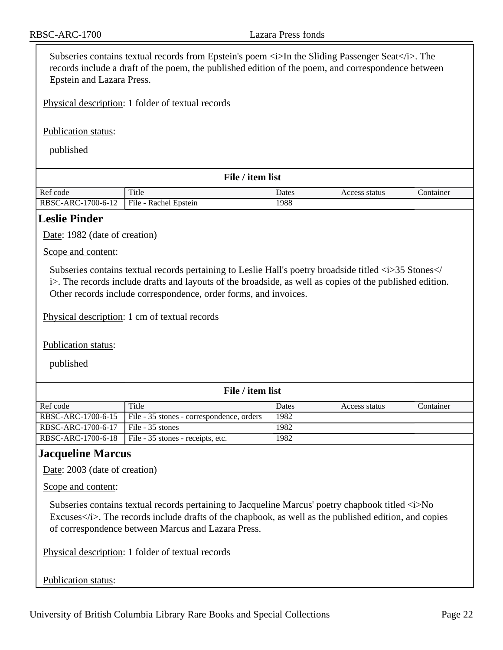Subseries contains textual records from Epstein's poem  $\langle i \rangle$  In the Sliding Passenger Seat $\langle i \rangle$ . The records include a draft of the poem, the published edition of the poem, and correspondence between Epstein and Lazara Press.

Physical description: 1 folder of textual records

Publication status:

published

| File / item list   |                       |       |               |           |
|--------------------|-----------------------|-------|---------------|-----------|
| Ref code           | Title                 | Dates | Access status | Container |
| RBSC-ARC-1700-6-12 | File - Rachel Epstein | 1988  |               |           |

## <span id="page-21-0"></span>**Leslie Pinder**

Date: 1982 (date of creation)

Scope and content:

Subseries contains textual records pertaining to Leslie Hall's poetry broadside titled  $\langle i \rangle$ 35 Stones  $\langle i \rangle$ i>. The records include drafts and layouts of the broadside, as well as copies of the published edition. Other records include correspondence, order forms, and invoices.

Physical description: 1 cm of textual records

Publication status:

published

| File / item list   |                                           |       |               |           |
|--------------------|-------------------------------------------|-------|---------------|-----------|
| Ref code           | Title                                     | Dates | Access status | Container |
| RBSC-ARC-1700-6-15 | File - 35 stones - correspondence, orders | 1982  |               |           |
| RBSC-ARC-1700-6-17 | File - 35 stones                          | 1982  |               |           |
| RBSC-ARC-1700-6-18 | File - 35 stones - receipts, etc.         | 1982  |               |           |

## <span id="page-21-1"></span>**Jacqueline Marcus**

Date: 2003 (date of creation)

Scope and content:

Subseries contains textual records pertaining to Jacqueline Marcus' poetry chapbook titled  $\langle i \rangle$ No Excuses</i>. The records include drafts of the chapbook, as well as the published edition, and copies of correspondence between Marcus and Lazara Press.

Physical description: 1 folder of textual records

#### Publication status: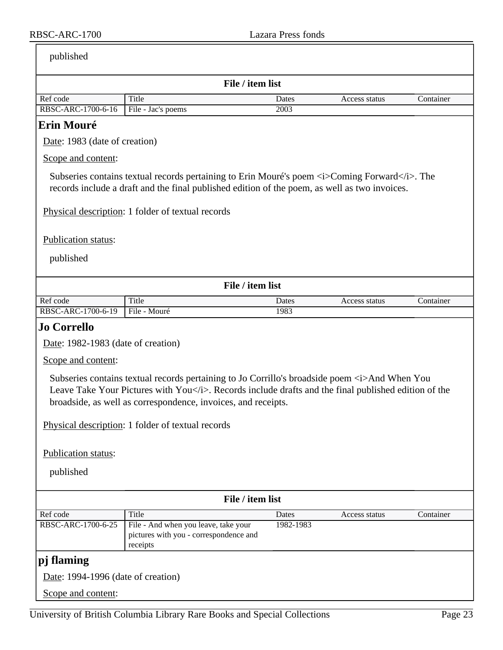<span id="page-22-2"></span><span id="page-22-1"></span><span id="page-22-0"></span>

| published                          |                                                                                                                                                                                                                                                                          |           |               |           |
|------------------------------------|--------------------------------------------------------------------------------------------------------------------------------------------------------------------------------------------------------------------------------------------------------------------------|-----------|---------------|-----------|
|                                    | File / item list                                                                                                                                                                                                                                                         |           |               |           |
| Ref code                           | Title                                                                                                                                                                                                                                                                    | Dates     | Access status | Container |
| RBSC-ARC-1700-6-16                 | File - Jac's poems                                                                                                                                                                                                                                                       | 2003      |               |           |
| <b>Erin Mouré</b>                  |                                                                                                                                                                                                                                                                          |           |               |           |
| Date: 1983 (date of creation)      |                                                                                                                                                                                                                                                                          |           |               |           |
| Scope and content:                 |                                                                                                                                                                                                                                                                          |           |               |           |
|                                    | Subseries contains textual records pertaining to Erin Mouré's poem $\langle i \rangle$ Coming Forward $\langle i \rangle$ . The<br>records include a draft and the final published edition of the poem, as well as two invoices.                                         |           |               |           |
|                                    | Physical description: 1 folder of textual records                                                                                                                                                                                                                        |           |               |           |
| Publication status:                |                                                                                                                                                                                                                                                                          |           |               |           |
| published                          |                                                                                                                                                                                                                                                                          |           |               |           |
|                                    |                                                                                                                                                                                                                                                                          |           |               |           |
|                                    | File / item list                                                                                                                                                                                                                                                         |           |               |           |
| Ref code                           | Title                                                                                                                                                                                                                                                                    | Dates     | Access status | Container |
| RBSC-ARC-1700-6-19                 | File - Mouré                                                                                                                                                                                                                                                             | 1983      |               |           |
| Jo Corrello                        |                                                                                                                                                                                                                                                                          |           |               |           |
| Date: 1982-1983 (date of creation) |                                                                                                                                                                                                                                                                          |           |               |           |
| Scope and content:                 |                                                                                                                                                                                                                                                                          |           |               |           |
|                                    | Subseries contains textual records pertaining to Jo Corrillo's broadside poem <i>And When You<br/>Leave Take Your Pictures with You</i> . Records include drafts and the final published edition of the<br>broadside, as well as correspondence, invoices, and receipts. |           |               |           |
|                                    | Physical description: 1 folder of textual records                                                                                                                                                                                                                        |           |               |           |
| Publication status:                |                                                                                                                                                                                                                                                                          |           |               |           |
| published                          |                                                                                                                                                                                                                                                                          |           |               |           |
|                                    | File / item list                                                                                                                                                                                                                                                         |           |               |           |
| Ref code                           | Title                                                                                                                                                                                                                                                                    | Dates     | Access status | Container |
| RBSC-ARC-1700-6-25                 | File - And when you leave, take your<br>pictures with you - correspondence and<br>receipts                                                                                                                                                                               | 1982-1983 |               |           |
| pj flaming                         |                                                                                                                                                                                                                                                                          |           |               |           |
| Date: 1994-1996 (date of creation) |                                                                                                                                                                                                                                                                          |           |               |           |
| Scope and content:                 |                                                                                                                                                                                                                                                                          |           |               |           |
|                                    |                                                                                                                                                                                                                                                                          |           |               |           |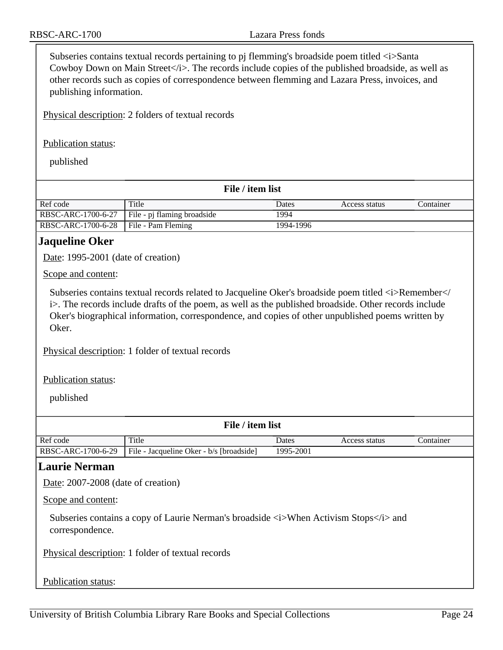Subseries contains textual records pertaining to pj flemming's broadside poem titled  $\langle i \rangle$ Santa Cowboy Down on Main Street</i>. The records include copies of the published broadside, as well as other records such as copies of correspondence between flemming and Lazara Press, invoices, and publishing information.

Physical description: 2 folders of textual records

Publication status:

published

| File / item list   |                             |           |               |           |
|--------------------|-----------------------------|-----------|---------------|-----------|
| Ref code           | Title                       | Dates     | Access status | Container |
| RBSC-ARC-1700-6-27 | File - pj flaming broadside | 1994      |               |           |
| RBSC-ARC-1700-6-28 | File - Pam Fleming          | 1994-1996 |               |           |

## <span id="page-23-0"></span>**Jaqueline Oker**

Date: 1995-2001 (date of creation)

Scope and content:

Subseries contains textual records related to Jacqueline Oker's broadside poem titled  $\langle i \rangle$ Remember $\langle i \rangle$ i>. The records include drafts of the poem, as well as the published broadside. Other records include Oker's biographical information, correspondence, and copies of other unpublished poems written by Oker.

Physical description: 1 folder of textual records

Publication status:

published

| File / item list   |                                          |           |               |           |
|--------------------|------------------------------------------|-----------|---------------|-----------|
| Ref code           | Title                                    | Dates     | Access status | Container |
| RBSC-ARC-1700-6-29 | File - Jacqueline Oker - b/s [broadside] | 1995-2001 |               |           |

### <span id="page-23-1"></span>**Laurie Nerman**

Date: 2007-2008 (date of creation)

Scope and content:

Subseries contains a copy of Laurie Nerman's broadside  $\langle i \rangle$ When Activism Stops $\langle i \rangle$  and correspondence.

Physical description: 1 folder of textual records

Publication status: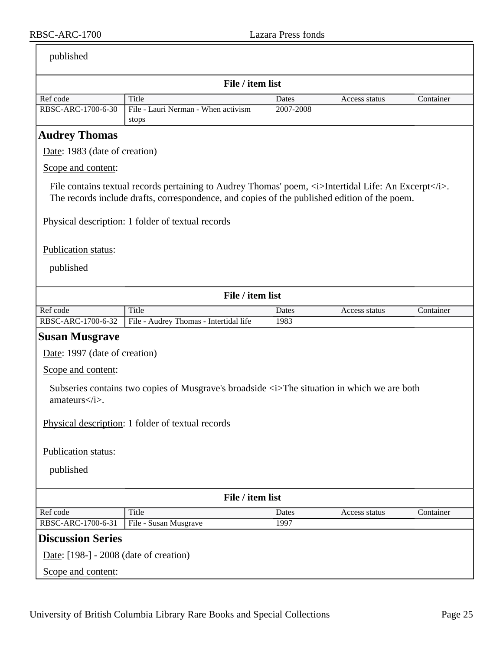| published |
|-----------|
|           |

<span id="page-24-2"></span><span id="page-24-1"></span><span id="page-24-0"></span>

|                                        | File / item list                                                                                                                                                                                                                       |           |               |           |
|----------------------------------------|----------------------------------------------------------------------------------------------------------------------------------------------------------------------------------------------------------------------------------------|-----------|---------------|-----------|
| Ref code                               | Title                                                                                                                                                                                                                                  | Dates     | Access status | Container |
| RBSC-ARC-1700-6-30                     | File - Lauri Nerman - When activism<br>stops                                                                                                                                                                                           | 2007-2008 |               |           |
| <b>Audrey Thomas</b>                   |                                                                                                                                                                                                                                        |           |               |           |
| Date: 1983 (date of creation)          |                                                                                                                                                                                                                                        |           |               |           |
| Scope and content:                     |                                                                                                                                                                                                                                        |           |               |           |
|                                        | File contains textual records pertaining to Audrey Thomas' poem, $\langle i \rangle$ Intertidal Life: An Excerpt $\langle i \rangle$ .<br>The records include drafts, correspondence, and copies of the published edition of the poem. |           |               |           |
|                                        | Physical description: 1 folder of textual records                                                                                                                                                                                      |           |               |           |
| Publication status:                    |                                                                                                                                                                                                                                        |           |               |           |
| published                              |                                                                                                                                                                                                                                        |           |               |           |
| File / item list                       |                                                                                                                                                                                                                                        |           |               |           |
| Ref code                               | Title                                                                                                                                                                                                                                  | Dates     | Access status | Container |
| RBSC-ARC-1700-6-32                     | File - Audrey Thomas - Intertidal life                                                                                                                                                                                                 | 1983      |               |           |
| <b>Susan Musgrave</b>                  |                                                                                                                                                                                                                                        |           |               |           |
| Date: 1997 (date of creation)          |                                                                                                                                                                                                                                        |           |               |           |
| Scope and content:                     |                                                                                                                                                                                                                                        |           |               |           |
| $amateurs <\!\!i>$ .                   | Subseries contains two copies of Musgrave's broadside <i>The situation in which we are both</i>                                                                                                                                        |           |               |           |
|                                        | Physical description: 1 folder of textual records                                                                                                                                                                                      |           |               |           |
| Publication status:                    |                                                                                                                                                                                                                                        |           |               |           |
| published                              |                                                                                                                                                                                                                                        |           |               |           |
|                                        | File / item list                                                                                                                                                                                                                       |           |               |           |
| Ref code                               | <b>Title</b>                                                                                                                                                                                                                           | Dates     | Access status | Container |
| RBSC-ARC-1700-6-31                     | File - Susan Musgrave                                                                                                                                                                                                                  | 1997      |               |           |
| <b>Discussion Series</b>               |                                                                                                                                                                                                                                        |           |               |           |
| Date: [198-] - 2008 (date of creation) |                                                                                                                                                                                                                                        |           |               |           |
| Scope and content:                     |                                                                                                                                                                                                                                        |           |               |           |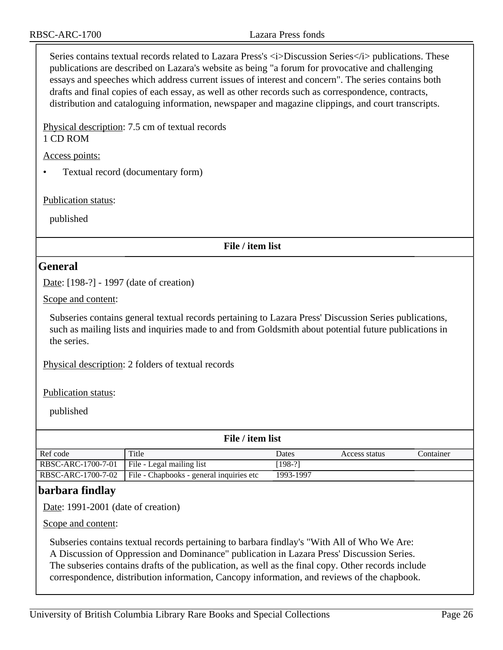Series contains textual records related to Lazara Press's  $\langle i \rangle$ Discussion Series $\langle i \rangle$  publications. These publications are described on Lazara's website as being "a forum for provocative and challenging essays and speeches which address current issues of interest and concern". The series contains both drafts and final copies of each essay, as well as other records such as correspondence, contracts, distribution and cataloguing information, newspaper and magazine clippings, and court transcripts.

Physical description: 7.5 cm of textual records 1 CD ROM

Access points:

• Textual record (documentary form)

Publication status:

published

**File / item list**

### <span id="page-25-0"></span>**General**

Date: [198-?] - 1997 (date of creation)

Scope and content:

Subseries contains general textual records pertaining to Lazara Press' Discussion Series publications, such as mailing lists and inquiries made to and from Goldsmith about potential future publications in the series.

Physical description: 2 folders of textual records

Publication status:

published

| File / item list   |                                          |           |               |           |
|--------------------|------------------------------------------|-----------|---------------|-----------|
| Ref code           | Title                                    | Dates     | Access status | Container |
| RBSC-ARC-1700-7-01 | File - Legal mailing list                | [198-?]   |               |           |
| RBSC-ARC-1700-7-02 | File - Chapbooks - general inquiries etc | 1993-1997 |               |           |

## <span id="page-25-1"></span>**barbara findlay**

Date: 1991-2001 (date of creation)

Scope and content:

Subseries contains textual records pertaining to barbara findlay's "With All of Who We Are: A Discussion of Oppression and Dominance" publication in Lazara Press' Discussion Series. The subseries contains drafts of the publication, as well as the final copy. Other records include correspondence, distribution information, Cancopy information, and reviews of the chapbook.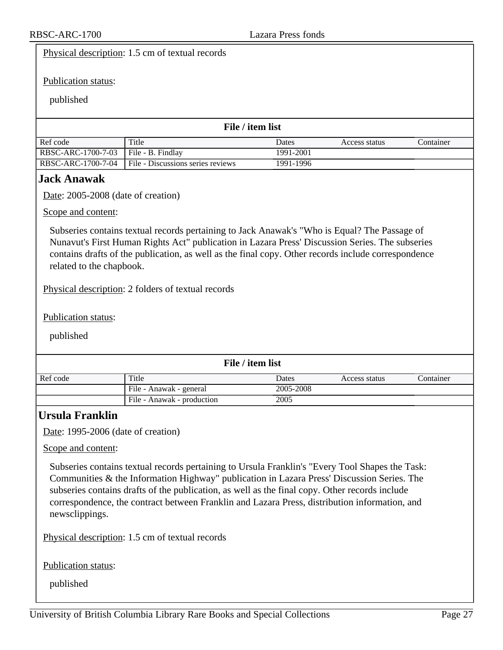<span id="page-26-1"></span><span id="page-26-0"></span>

|                                                                                                                                                                                                                                                                                                                                    | Physical description: 1.5 cm of textual records                                                                                                                                                                                                                                                                                                                                                  |                        |               |           |  |  |  |  |
|------------------------------------------------------------------------------------------------------------------------------------------------------------------------------------------------------------------------------------------------------------------------------------------------------------------------------------|--------------------------------------------------------------------------------------------------------------------------------------------------------------------------------------------------------------------------------------------------------------------------------------------------------------------------------------------------------------------------------------------------|------------------------|---------------|-----------|--|--|--|--|
| Publication status:                                                                                                                                                                                                                                                                                                                |                                                                                                                                                                                                                                                                                                                                                                                                  |                        |               |           |  |  |  |  |
| published                                                                                                                                                                                                                                                                                                                          |                                                                                                                                                                                                                                                                                                                                                                                                  |                        |               |           |  |  |  |  |
|                                                                                                                                                                                                                                                                                                                                    |                                                                                                                                                                                                                                                                                                                                                                                                  |                        |               |           |  |  |  |  |
| File / item list                                                                                                                                                                                                                                                                                                                   |                                                                                                                                                                                                                                                                                                                                                                                                  |                        |               |           |  |  |  |  |
| Ref code                                                                                                                                                                                                                                                                                                                           | Title                                                                                                                                                                                                                                                                                                                                                                                            | Dates                  | Access status | Container |  |  |  |  |
| RBSC-ARC-1700-7-03<br>RBSC-ARC-1700-7-04                                                                                                                                                                                                                                                                                           | File - B. Findlay<br>File - Discussions series reviews                                                                                                                                                                                                                                                                                                                                           | 1991-2001<br>1991-1996 |               |           |  |  |  |  |
| <b>Jack Anawak</b>                                                                                                                                                                                                                                                                                                                 |                                                                                                                                                                                                                                                                                                                                                                                                  |                        |               |           |  |  |  |  |
| Date: 2005-2008 (date of creation)                                                                                                                                                                                                                                                                                                 |                                                                                                                                                                                                                                                                                                                                                                                                  |                        |               |           |  |  |  |  |
| Scope and content:                                                                                                                                                                                                                                                                                                                 |                                                                                                                                                                                                                                                                                                                                                                                                  |                        |               |           |  |  |  |  |
|                                                                                                                                                                                                                                                                                                                                    |                                                                                                                                                                                                                                                                                                                                                                                                  |                        |               |           |  |  |  |  |
| Subseries contains textual records pertaining to Jack Anawak's "Who is Equal? The Passage of<br>Nunavut's First Human Rights Act" publication in Lazara Press' Discussion Series. The subseries<br>contains drafts of the publication, as well as the final copy. Other records include correspondence<br>related to the chapbook. |                                                                                                                                                                                                                                                                                                                                                                                                  |                        |               |           |  |  |  |  |
| Physical description: 2 folders of textual records                                                                                                                                                                                                                                                                                 |                                                                                                                                                                                                                                                                                                                                                                                                  |                        |               |           |  |  |  |  |
| Publication status:                                                                                                                                                                                                                                                                                                                |                                                                                                                                                                                                                                                                                                                                                                                                  |                        |               |           |  |  |  |  |
| published                                                                                                                                                                                                                                                                                                                          |                                                                                                                                                                                                                                                                                                                                                                                                  |                        |               |           |  |  |  |  |
| File / item list                                                                                                                                                                                                                                                                                                                   |                                                                                                                                                                                                                                                                                                                                                                                                  |                        |               |           |  |  |  |  |
| Ref code                                                                                                                                                                                                                                                                                                                           | Title                                                                                                                                                                                                                                                                                                                                                                                            | Dates                  | Access status | Container |  |  |  |  |
|                                                                                                                                                                                                                                                                                                                                    | File - Anawak - general                                                                                                                                                                                                                                                                                                                                                                          | 2005-2008              |               |           |  |  |  |  |
|                                                                                                                                                                                                                                                                                                                                    | File - Anawak - production                                                                                                                                                                                                                                                                                                                                                                       | 2005                   |               |           |  |  |  |  |
| <b>Ursula Franklin</b>                                                                                                                                                                                                                                                                                                             |                                                                                                                                                                                                                                                                                                                                                                                                  |                        |               |           |  |  |  |  |
| Date: 1995-2006 (date of creation)                                                                                                                                                                                                                                                                                                 |                                                                                                                                                                                                                                                                                                                                                                                                  |                        |               |           |  |  |  |  |
| Scope and content:                                                                                                                                                                                                                                                                                                                 |                                                                                                                                                                                                                                                                                                                                                                                                  |                        |               |           |  |  |  |  |
| newsclippings.                                                                                                                                                                                                                                                                                                                     | Subseries contains textual records pertaining to Ursula Franklin's "Every Tool Shapes the Task:<br>Communities & the Information Highway" publication in Lazara Press' Discussion Series. The<br>subseries contains drafts of the publication, as well as the final copy. Other records include<br>correspondence, the contract between Franklin and Lazara Press, distribution information, and |                        |               |           |  |  |  |  |
|                                                                                                                                                                                                                                                                                                                                    | Physical description: 1.5 cm of textual records                                                                                                                                                                                                                                                                                                                                                  |                        |               |           |  |  |  |  |
| Publication status:                                                                                                                                                                                                                                                                                                                |                                                                                                                                                                                                                                                                                                                                                                                                  |                        |               |           |  |  |  |  |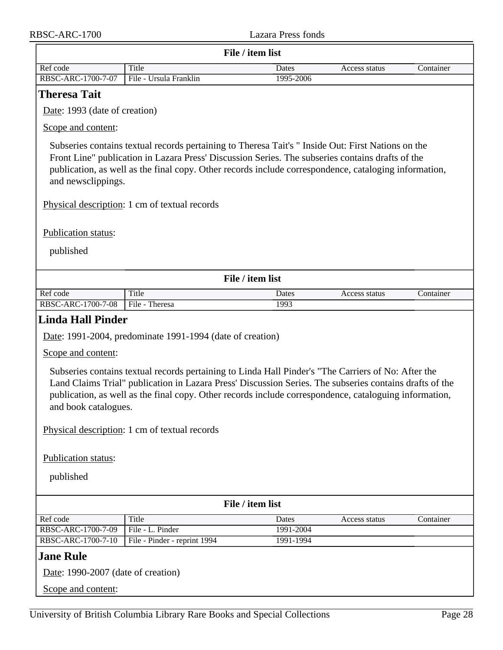<span id="page-27-2"></span><span id="page-27-1"></span><span id="page-27-0"></span>

| File / item list                                                                                                                                                                                                                                                                                                                                 |                                                           |               |               |           |  |  |  |
|--------------------------------------------------------------------------------------------------------------------------------------------------------------------------------------------------------------------------------------------------------------------------------------------------------------------------------------------------|-----------------------------------------------------------|---------------|---------------|-----------|--|--|--|
| Ref code                                                                                                                                                                                                                                                                                                                                         | <b>Title</b>                                              | Dates         | Access status | Container |  |  |  |
| RBSC-ARC-1700-7-07                                                                                                                                                                                                                                                                                                                               | File - Ursula Franklin                                    | 1995-2006     |               |           |  |  |  |
| <b>Theresa Tait</b>                                                                                                                                                                                                                                                                                                                              |                                                           |               |               |           |  |  |  |
| Date: 1993 (date of creation)                                                                                                                                                                                                                                                                                                                    |                                                           |               |               |           |  |  |  |
| Scope and content:                                                                                                                                                                                                                                                                                                                               |                                                           |               |               |           |  |  |  |
| Subseries contains textual records pertaining to Theresa Tait's "Inside Out: First Nations on the<br>Front Line" publication in Lazara Press' Discussion Series. The subseries contains drafts of the<br>publication, as well as the final copy. Other records include correspondence, cataloging information,<br>and newsclippings.             |                                                           |               |               |           |  |  |  |
| Physical description: 1 cm of textual records                                                                                                                                                                                                                                                                                                    |                                                           |               |               |           |  |  |  |
| Publication status:                                                                                                                                                                                                                                                                                                                              |                                                           |               |               |           |  |  |  |
| published                                                                                                                                                                                                                                                                                                                                        |                                                           |               |               |           |  |  |  |
|                                                                                                                                                                                                                                                                                                                                                  |                                                           |               |               |           |  |  |  |
|                                                                                                                                                                                                                                                                                                                                                  | File / item list                                          |               |               |           |  |  |  |
| Ref code<br>RBSC-ARC-1700-7-08                                                                                                                                                                                                                                                                                                                   | Title<br>File - Theresa                                   | Dates<br>1993 | Access status | Container |  |  |  |
| <b>Linda Hall Pinder</b>                                                                                                                                                                                                                                                                                                                         |                                                           |               |               |           |  |  |  |
|                                                                                                                                                                                                                                                                                                                                                  |                                                           |               |               |           |  |  |  |
|                                                                                                                                                                                                                                                                                                                                                  | Date: 1991-2004, predominate 1991-1994 (date of creation) |               |               |           |  |  |  |
| Scope and content:                                                                                                                                                                                                                                                                                                                               |                                                           |               |               |           |  |  |  |
| Subseries contains textual records pertaining to Linda Hall Pinder's "The Carriers of No: After the<br>Land Claims Trial" publication in Lazara Press' Discussion Series. The subseries contains drafts of the<br>publication, as well as the final copy. Other records include correspondence, cataloguing information,<br>and book catalogues. |                                                           |               |               |           |  |  |  |
| Physical description: 1 cm of textual records                                                                                                                                                                                                                                                                                                    |                                                           |               |               |           |  |  |  |
| Publication status:                                                                                                                                                                                                                                                                                                                              |                                                           |               |               |           |  |  |  |
| published                                                                                                                                                                                                                                                                                                                                        |                                                           |               |               |           |  |  |  |
| File / item list                                                                                                                                                                                                                                                                                                                                 |                                                           |               |               |           |  |  |  |
| Ref code                                                                                                                                                                                                                                                                                                                                         | Title                                                     | Dates         | Access status | Container |  |  |  |
| RBSC-ARC-1700-7-09                                                                                                                                                                                                                                                                                                                               | File - L. Pinder                                          | 1991-2004     |               |           |  |  |  |
| RBSC-ARC-1700-7-10                                                                                                                                                                                                                                                                                                                               | File - Pinder - reprint 1994                              | 1991-1994     |               |           |  |  |  |
| <b>Jane Rule</b>                                                                                                                                                                                                                                                                                                                                 |                                                           |               |               |           |  |  |  |
| Date: 1990-2007 (date of creation)                                                                                                                                                                                                                                                                                                               |                                                           |               |               |           |  |  |  |
| Scope and content:                                                                                                                                                                                                                                                                                                                               |                                                           |               |               |           |  |  |  |